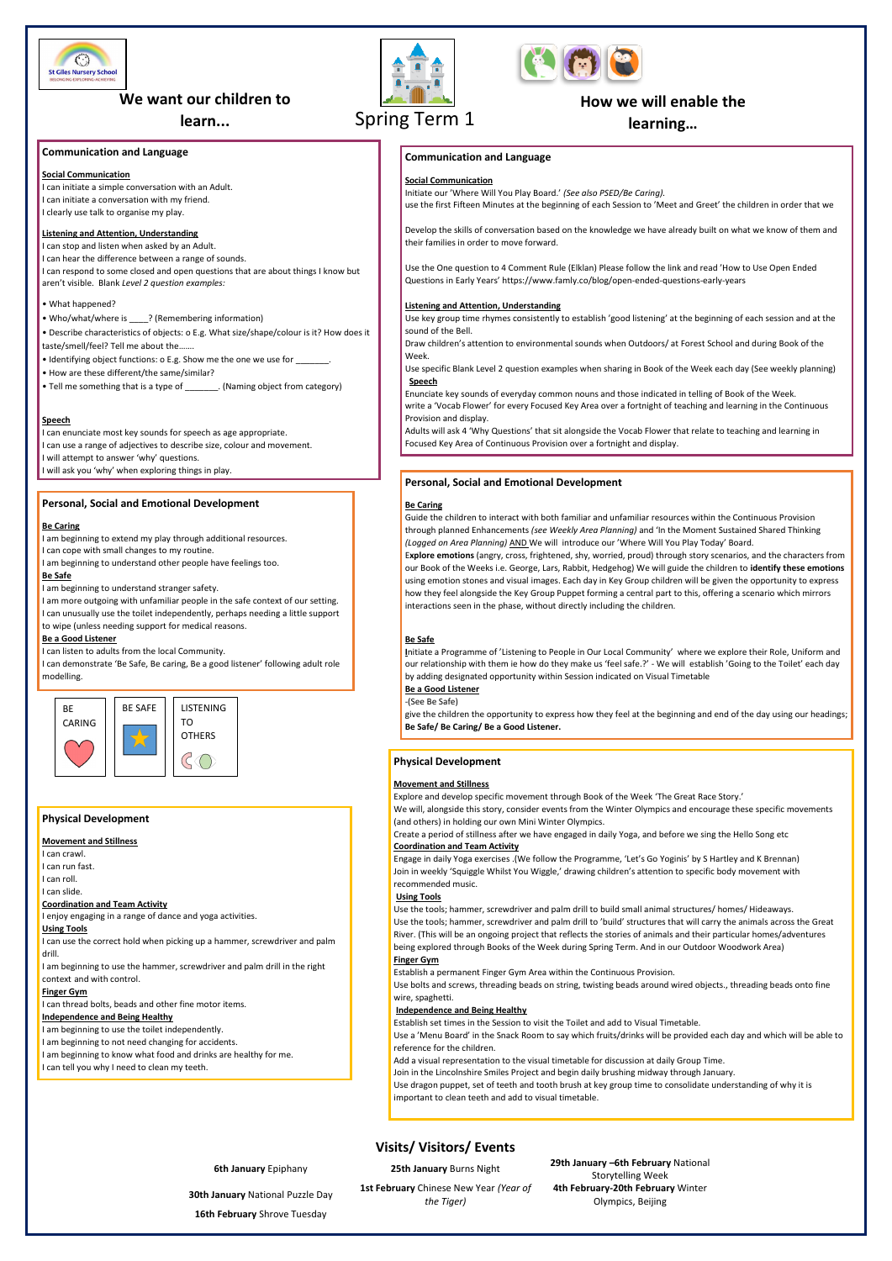# **Visits/ Visitors/ Events**

**6th January** Epiphany **25th January** Burns Night **29th January –6th February** National Storytelling Week **4th February-20th February** Winter Olympics, Beijing

**30th January** National Puzzle Day **1st February** Chinese New Year *(Year of the Tiger)*

**16th February** Shrove Tuesday

# **Communication and Language**

## **Social Communication**

I can initiate a simple conversation with an Adult. I can initiate a conversation with my friend. I clearly use talk to organise my play.

# **Listening and Attention, Understanding**

I can stop and listen when asked by an Adult. I can hear the difference between a range of sounds. I can respond to some closed and open questions that are about things I know but aren't visible. Blank *Level 2 question examples:* 

### • What happened?

• Who/what/where is <br> **• Who/what/where is** <br> **• (Remembering information)** 

- Describe characteristics of objects: o E.g. What size/shape/colour is it? How does it taste/smell/feel? Tell me about the…….
- Identifying object functions: o E.g. Show me the one we use for \_\_\_\_\_\_\_.
- How are these different/the same/similar?
- Tell me something that is a type of \_\_\_\_\_\_\_. (Naming object from category)

### **Speech**

I can enunciate most key sounds for speech as age appropriate.

I can use a range of adjectives to describe size, colour and movement.

I will attempt to answer 'why' questions.

I will ask you 'why' when exploring things in play.

# **Personal, Social and Emotional Development**

#### **Be Caring**

- I am beginning to extend my play through additional resources.
- I can cope with small changes to my routine.
- I am beginning to understand other people have feelings too.

# **Be Safe**

I am beginning to understand stranger safety.

I am more outgoing with unfamiliar people in the safe context of our setting. I can unusually use the toilet independently, perhaps needing a little support to wipe (unless needing support for medical reasons.

#### **Be a Good Listener**

I can listen to adults from the local Community.

I can demonstrate 'Be Safe, Be caring, Be a good listener' following adult role modelling.

# **Physical Development**

#### **Movement and Stillness**

I can crawl.

I can run fast.

I can roll.

I can slide.

#### **Coordination and Team Activity**

I enjoy engaging in a range of dance and yoga activities.

# **Using Tools**

I can use the correct hold when picking up a hammer, screwdriver and palm

#### drill.

I am beginning to use the hammer, screwdriver and palm drill in the right context and with control.

#### **Finger Gym**

I can thread bolts, beads and other fine motor items.

#### **Independence and Being Healthy**

I am beginning to use the toilet independently. I am beginning to not need changing for accidents. I am beginning to know what food and drinks are healthy for me.

I can tell you why I need to clean my teeth.

# **Personal, Social and Emotional Development**

# **Be Caring**

Guide the children to interact with both familiar and unfamiliar resources within the Continuous Provision through planned Enhancements *(see Weekly Area Planning)* and 'In the Moment Sustained Shared Thinking *(Logged on Area Planning)* AND We will introduce our 'Where Will You Play Today' Board.

E**xplore emotions** (angry, cross, frightened, shy, worried, proud) through story scenarios, and the characters from our Book of the Weeks i.e. George, Lars, Rabbit, Hedgehog) We will guide the children to **identify these emotions** using emotion stones and visual images. Each day in Key Group children will be given the opportunity to express how they feel alongside the Key Group Puppet forming a central part to this, offering a scenario which mirrors interactions seen in the phase, without directly including the children.

# **Be Safe**

**I**nitiate a Programme of 'Listening to People in Our Local Community' where we explore their Role, Uniform and our relationship with them ie how do they make us 'feel safe.?' - We will establish 'Going to the Toilet' each day by adding designated opportunity within Session indicated on Visual Timetable

#### **Be a Good Listener**

-(See Be Safe)

give the children the opportunity to express how they feel at the beginning and end of the day using our headings; **Be Safe/ Be Caring/ Be a Good Listener.**

## **Physical Development**

# **Movement and Stillness**

Explore and develop specific movement through Book of the Week 'The Great Race Story.'

We will, alongside this story, consider events from the Winter Olympics and encourage these specific movements (and others) in holding our own Mini Winter Olympics.

Create a period of stillness after we have engaged in daily Yoga, and before we sing the Hello Song etc **Coordination and Team Activity** 

Engage in daily Yoga exercises .(We follow the Programme, 'Let's Go Yoginis' by S Hartley and K Brennan) Join in weekly 'Squiggle Whilst You Wiggle,' drawing children's attention to specific body movement with recommended music.

#### **Using Tools**

Use the tools; hammer, screwdriver and palm drill to build small animal structures/ homes/ Hideaways. Use the tools; hammer, screwdriver and palm drill to 'build' structures that will carry the animals across the Great River. (This will be an ongoing project that reflects the stories of animals and their particular homes/adventures being explored through Books of the Week during Spring Term. And in our Outdoor Woodwork Area)

#### **Finger Gym**

Establish a permanent Finger Gym Area within the Continuous Provision.

Use bolts and screws, threading beads on string, twisting beads around wired objects., threading beads onto fine wire, spaghetti.

#### **Independence and Being Healthy**

Establish set times in the Session to visit the Toilet and add to Visual Timetable.

Use a 'Menu Board' in the Snack Room to say which fruits/drinks will be provided each day and which will be able to reference for the children.

Add a visual representation to the visual timetable for discussion at daily Group Time. Join in the Lincolnshire Smiles Project and begin daily brushing midway through January.

Use dragon puppet, set of teeth and tooth brush at key group time to consolidate understanding of why it is important to clean teeth and add to visual timetable.







# **We want our children to**

**learn...**

# **How we will enable the**

**learning…**



# **Communication and Language**

# **Social Communication**

Initiate our 'Where Will You Play Board.' *(See also PSED/Be Caring).* 

use the first Fifteen Minutes at the beginning of each Session to 'Meet and Greet' the children in order that we

Develop the skills of conversation based on the knowledge we have already built on what we know of them and their families in order to move forward.

Use the One question to 4 Comment Rule (Elklan) Please follow the link and read 'How to Use Open Ended Questions in Early Years' https://www.famly.co/blog/open-ended-questions-early-years

### **Listening and Attention, Understanding**

Use key group time rhymes consistently to establish 'good listening' at the beginning of each session and at the sound of the Bell.

Draw children's attention to environmental sounds when Outdoors/ at Forest School and during Book of the Week.

Use specific Blank Level 2 question examples when sharing in Book of the Week each day (See weekly planning) **Speech**

Enunciate key sounds of everyday common nouns and those indicated in telling of Book of the Week. write a 'Vocab Flower' for every Focused Key Area over a fortnight of teaching and learning in the Continuous Provision and display.

Adults will ask 4 'Why Questions' that sit alongside the Vocab Flower that relate to teaching and learning in Focused Key Area of Continuous Provision over a fortnight and display.